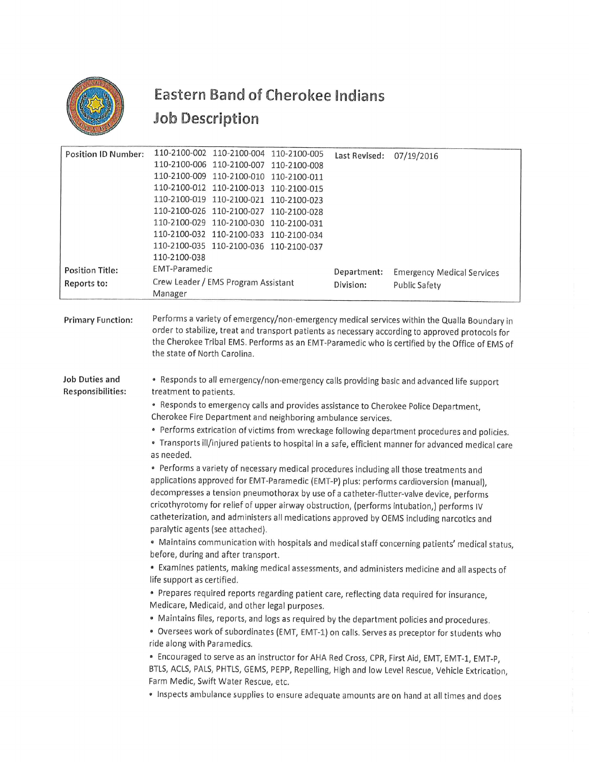

## Eastern Band of Cherokee Indians Eastern Band of Che Job Description

|                                       | <b>Eastern Band of Cherokee Indians</b>                                                                                                                                                                                                                                                                                                                                                                                                                                                                                                                                                                                                                                                                                                                                                                                                                                                                                                                                                                                                                                                                                                                                                                                                                                                                                                                                                                                                                                                                                                                                                                                                                                                                                                                                                                                                                                                                                                                                                                       |                          |                                                    |
|---------------------------------------|---------------------------------------------------------------------------------------------------------------------------------------------------------------------------------------------------------------------------------------------------------------------------------------------------------------------------------------------------------------------------------------------------------------------------------------------------------------------------------------------------------------------------------------------------------------------------------------------------------------------------------------------------------------------------------------------------------------------------------------------------------------------------------------------------------------------------------------------------------------------------------------------------------------------------------------------------------------------------------------------------------------------------------------------------------------------------------------------------------------------------------------------------------------------------------------------------------------------------------------------------------------------------------------------------------------------------------------------------------------------------------------------------------------------------------------------------------------------------------------------------------------------------------------------------------------------------------------------------------------------------------------------------------------------------------------------------------------------------------------------------------------------------------------------------------------------------------------------------------------------------------------------------------------------------------------------------------------------------------------------------------------|--------------------------|----------------------------------------------------|
|                                       | Job Description                                                                                                                                                                                                                                                                                                                                                                                                                                                                                                                                                                                                                                                                                                                                                                                                                                                                                                                                                                                                                                                                                                                                                                                                                                                                                                                                                                                                                                                                                                                                                                                                                                                                                                                                                                                                                                                                                                                                                                                               |                          |                                                    |
| <b>Position ID Number:</b>            | 110-2100-002 110-2100-004<br>110-2100-005<br>110-2100-006 110-2100-007<br>110-2100-008<br>110-2100-009 110-2100-010<br>110-2100-011<br>110-2100-012 110-2100-013<br>110-2100-015<br>110-2100-019 110-2100-021 110-2100-023<br>110-2100-026 110-2100-027 110-2100-028<br>110-2100-029 110-2100-030<br>110-2100-031<br>110-2100-032 110-2100-033<br>110-2100-034<br>110-2100-035<br>110-2100-036 110-2100-037<br>110-2100-038<br><b>EMT-Paramedic</b>                                                                                                                                                                                                                                                                                                                                                                                                                                                                                                                                                                                                                                                                                                                                                                                                                                                                                                                                                                                                                                                                                                                                                                                                                                                                                                                                                                                                                                                                                                                                                           | Last Revised:            | 07/19/2016                                         |
| <b>Position Title:</b><br>Reports to: | Crew Leader / EMS Program Assistant<br>Manager                                                                                                                                                                                                                                                                                                                                                                                                                                                                                                                                                                                                                                                                                                                                                                                                                                                                                                                                                                                                                                                                                                                                                                                                                                                                                                                                                                                                                                                                                                                                                                                                                                                                                                                                                                                                                                                                                                                                                                | Department:<br>Division: | <b>Emergency Medical Services</b><br>Public Safety |
| <b>Primary Function:</b>              | Performs a variety of emergency/non-emergency medical services within the Qualla Boundary in<br>order to stabilize, treat and transport patients as necessary according to approved protocols for<br>the Cherokee Tribal EMS. Performs as an EMT-Paramedic who is certified by the Office of EMS of<br>the state of North Carolina.                                                                                                                                                                                                                                                                                                                                                                                                                                                                                                                                                                                                                                                                                                                                                                                                                                                                                                                                                                                                                                                                                                                                                                                                                                                                                                                                                                                                                                                                                                                                                                                                                                                                           |                          |                                                    |
| Job Duties and<br>Responsibilities:   | • Responds to all emergency/non-emergency calls providing basic and advanced life support<br>treatment to patients.<br>· Responds to emergency calls and provides assistance to Cherokee Police Department,<br>Cherokee Fire Department and neighboring ambulance services.<br>• Performs extrication of victims from wreckage following department procedures and policies.<br>· Transports ill/injured patients to hospital in a safe, efficient manner for advanced medical care<br>as needed.<br>• Performs a variety of necessary medical procedures including all those treatments and<br>applications approved for EMT-Paramedic (EMT-P) plus: performs cardioversion (manual),<br>decompresses a tension pneumothorax by use of a catheter-flutter-valve device, performs<br>cricothyrotomy for relief of upper airway obstruction, (performs intubation,) performs IV<br>catheterization, and administers all medications approved by OEMS including narcotics and<br>paralytic agents (see attached).<br>· Maintains communication with hospitals and medical staff concerning patients' medical status,<br>before, during and after transport.<br>• Examines patients, making medical assessments, and administers medicine and all aspects of<br>life support as certified.<br>• Prepares required reports regarding patient care, reflecting data required for insurance,<br>Medicare, Medicaid, and other legal purposes.<br>· Maintains files, reports, and logs as required by the department policies and procedures.<br>· Oversees work of subordinates (EMT, EMT-1) on calls. Serves as preceptor for students who<br>ride along with Paramedics.<br>• Encouraged to serve as an instructor for AHA Red Cross, CPR, First Aid, EMT, EMT-1, EMT-P,<br>BTLS, ACLS, PALS, PHTLS, GEMS, PEPP, Repelling, High and low Level Rescue, Vehicle Extrication,<br>Farm Medic, Swift Water Rescue, etc.<br>. Inspects ambulance supplies to ensure adequate amounts are on hand at all times and does |                          |                                                    |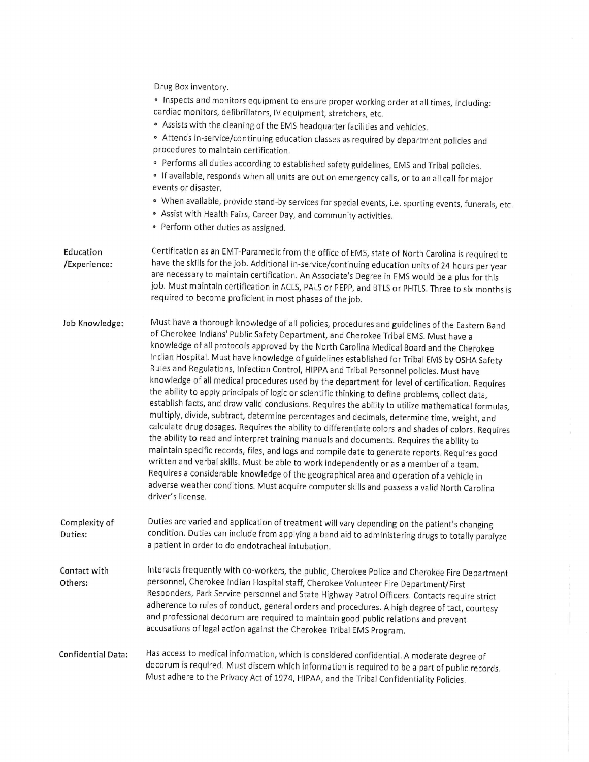|                           | Drug Box inventory.<br>· Inspects and monitors equipment to ensure proper working order at all times, including:<br>cardiac monitors, defibrillators, IV equipment, stretchers, etc.<br>. Assists with the cleaning of the EMS headquarter facilities and vehicles.<br>• Attends in-service/continuing education classes as required by department policies and<br>procedures to maintain certification.<br>• Performs all duties according to established safety guidelines, EMS and Tribal policies.<br>· If available, responds when all units are out on emergency calls, or to an all call for major<br>events or disaster.<br>· When available, provide stand-by services for special events, i.e. sporting events, funerals, etc.<br>· Assist with Health Fairs, Career Day, and community activities.<br>• Perform other duties as assigned.                                                                                                                                                                                                                                                                                                                                                                                                                                                                                                                                                                                                                                                        |
|---------------------------|-------------------------------------------------------------------------------------------------------------------------------------------------------------------------------------------------------------------------------------------------------------------------------------------------------------------------------------------------------------------------------------------------------------------------------------------------------------------------------------------------------------------------------------------------------------------------------------------------------------------------------------------------------------------------------------------------------------------------------------------------------------------------------------------------------------------------------------------------------------------------------------------------------------------------------------------------------------------------------------------------------------------------------------------------------------------------------------------------------------------------------------------------------------------------------------------------------------------------------------------------------------------------------------------------------------------------------------------------------------------------------------------------------------------------------------------------------------------------------------------------------------|
| Education<br>/Experience: | Certification as an EMT-Paramedic from the office of EMS, state of North Carolina is required to<br>have the skills for the job. Additional in-service/continuing education units of 24 hours per year<br>are necessary to maintain certification. An Associate's Degree in EMS would be a plus for this<br>job. Must maintain certification in ACLS, PALS or PEPP, and BTLS or PHTLS. Three to six months is<br>required to become proficient in most phases of the job.                                                                                                                                                                                                                                                                                                                                                                                                                                                                                                                                                                                                                                                                                                                                                                                                                                                                                                                                                                                                                                   |
| Job Knowledge:            | Must have a thorough knowledge of all policies, procedures and guidelines of the Eastern Band<br>of Cherokee Indians' Public Safety Department, and Cherokee Tribal EMS. Must have a<br>knowledge of all protocols approved by the North Carolina Medical Board and the Cherokee<br>Indian Hospital. Must have knowledge of guidelines established for Tribal EMS by OSHA Safety<br>Rules and Regulations, Infection Control, HIPPA and Tribal Personnel policies. Must have<br>knowledge of all medical procedures used by the department for level of certification. Requires<br>the ability to apply principals of logic or scientific thinking to define problems, collect data,<br>establish facts, and draw valid conclusions. Requires the ability to utilize mathematical formulas,<br>multiply, divide, subtract, determine percentages and decimals, determine time, weight, and<br>calculate drug dosages. Requires the ability to differentiate colors and shades of colors. Requires<br>the ability to read and interpret training manuals and documents. Requires the ability to<br>maintain specific records, files, and logs and compile date to generate reports. Requires good<br>written and verbal skills. Must be able to work independently or as a member of a team.<br>Requires a considerable knowledge of the geographical area and operation of a vehicle in<br>adverse weather conditions. Must acquire computer skills and possess a valid North Carolina<br>driver's license. |
| Complexity of<br>Duties:  | Duties are varied and application of treatment will vary depending on the patient's changing<br>condition. Duties can include from applying a band aid to administering drugs to totally paralyze<br>a patient in order to do endotracheal intubation.                                                                                                                                                                                                                                                                                                                                                                                                                                                                                                                                                                                                                                                                                                                                                                                                                                                                                                                                                                                                                                                                                                                                                                                                                                                      |
| Contact with<br>Others:   | Interacts frequently with co-workers, the public, Cherokee Police and Cherokee Fire Department<br>personnel, Cherokee Indian Hospital staff, Cherokee Volunteer Fire Department/First<br>Responders, Park Service personnel and State Highway Patrol Officers. Contacts require strict<br>adherence to rules of conduct, general orders and procedures. A high degree of tact, courtesy<br>and professional decorum are required to maintain good public relations and prevent<br>accusations of legal action against the Cherokee Tribal EMS Program.                                                                                                                                                                                                                                                                                                                                                                                                                                                                                                                                                                                                                                                                                                                                                                                                                                                                                                                                                      |
| Confidential Data:        | Has access to medical information, which is considered confidential. A moderate degree of<br>decorum is required. Must discern which information is required to be a part of public records.<br>Must adhere to the Privacy Act of 1974, HIPAA, and the Tribal Confidentiality Policies.                                                                                                                                                                                                                                                                                                                                                                                                                                                                                                                                                                                                                                                                                                                                                                                                                                                                                                                                                                                                                                                                                                                                                                                                                     |